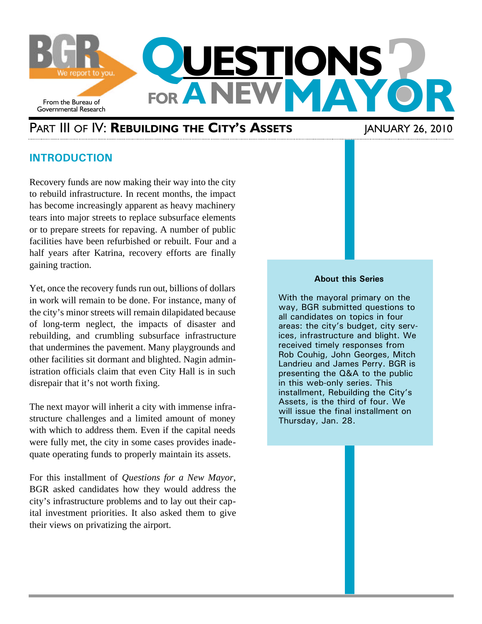

# PART III OF IV: **REBUILDING THE CITY'S ASSETS** JANUARY 26, 2010

# **INTRODUCTION**

Recovery funds are now making their way into the city to rebuild infrastructure. In recent months, the impact has become increasingly apparent as heavy machinery tears into major streets to replace subsurface elements or to prepare streets for repaving. A number of public facilities have been refurbished or rebuilt. Four and a half years after Katrina, recovery efforts are finally gaining traction.

Yet, once the recovery funds run out, billions of dollars in work will remain to be done. For instance, many of the city's minor streets will remain dilapidated because of long-term neglect, the impacts of disaster and rebuilding, and crumbling subsurface infrastructure that undermines the pavement. Many playgrounds and other facilities sit dormant and blighted. Nagin administration officials claim that even City Hall is in such disrepair that it's not worth fixing.

The next mayor will inherit a city with immense infrastructure challenges and a limited amount of money with which to address them. Even if the capital needs were fully met, the city in some cases provides inadequate operating funds to properly maintain its assets.

For this installment of *Questions for a New Mayor*, BGR asked candidates how they would address the city's infrastructure problems and to lay out their capital investment priorities. It also asked them to give their views on privatizing the airport.

#### **About this Series**

With the mayoral primary on the way, BGR submitted questions to all candidates on topics in four areas: the city's budget, city services, infrastructure and blight. We received timely responses from Rob Couhig, John Georges, Mitch Landrieu and James Perry. BGR is presenting the Q&A to the public in this web-only series. This installment, Rebuilding the City's Assets, is the third of four. We will issue the final installment on Thursday, Jan. 28.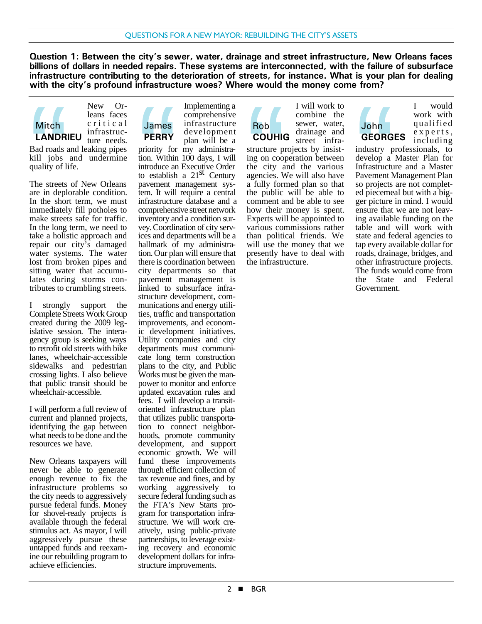**Question 1: Between the city's sewer, water, drainage and street infrastructure, New Orleans faces billions of dollars in needed repairs. These systems are interconnected, with the failure of subsurface infrastructure contributing to the deterioration of streets, for instance. What is your plan for dealing with the city's profound infrastructure woes? Where would the money come from?**

Rob

infrastructure needs. Bad roads and leaking pipes kill jobs and undermine quality of life. Mitch<br> **LANDR**<br>
Bad roads a<br>
kill jobs<br>
quality of li<br>
The streets<br>
are in deplements<br>
In the shore **Mitch LANDRIEU**

New Orleans faces critical

The streets of New Orleans are in deplorable condition. In the short term, we must immediately fill potholes to make streets safe for traffic. In the long term, we need to take a holistic approach and repair our city's damaged water systems. The water lost from broken pipes and sitting water that accumulates during storms contributes to crumbling streets.

I strongly support the Complete Streets Work Group created during the 2009 legislative session. The interagency group is seeking ways to retrofit old streets with bike lanes, wheelchair-accessible sidewalks and pedestrian crossing lights. I also believe that public transit should be wheelchair-accessible.

I will perform a full review of current and planned projects, identifying the gap between what needs to be done and the resources we have.

New Orleans taxpayers will never be able to generate enough revenue to fix the infrastructure problems so the city needs to aggressively pursue federal funds. Money for shovel-ready projects is available through the federal stimulus act. As mayor, I will aggressively pursue these untapped funds and reexamine our rebuilding program to achieve efficiencies.

Implementing a comprehensive infrastructure development plan will be a James **PERRY**

priority for my administration. Within 100 days, I will introduce an Executive Order to establish a  $21<sup>st</sup>$  Century pavement management system. It will require a central infrastructure database and a comprehensive street network inventory and a condition survey. Coordination of city services and departments will be a hallmark of my administration. Our plan will ensure that there is coordination between city departments so that pavement management is linked to subsurface infrastructure development, communications and energy utilities, traffic and transportation improvements, and economic development initiatives. Utility companies and city departments must communicate long term construction plans to the city, and Public Works must be given the manpower to monitor and enforce updated excavation rules and fees. I will develop a transitoriented infrastructure plan that utilizes public transportation to connect neighborhoods, promote community development, and support economic growth. We will fund these improvements through efficient collection of tax revenue and fines, and by working aggressively to secure federal funding such as the FTA's New Starts program for transportation infrastructure. We will work creatively, using public-private partnerships, to leverage existing recovery and economic development dollars for infrastructure improvements. James<br>
PERRY<br>
priority for<br>
priority for<br>
to establish<br>
pavement r<br>
tem. It will<br>
infrastructure<br>
comprehens

I will work to combine the sewer, water, drainage and street infra-**COUHIG**

structure projects by insisting on cooperation between the city and the various agencies. We will also have a fully formed plan so that the public will be able to comment and be able to see how their money is spent. Experts will be appointed to various commissions rather than political friends. We will use the money that we presently have to deal with the infrastructure. Rob<br>COUHIC<br>structure pi<br>ing on coop<br>the computer<br>a fully form<br>the public<br>comment a<br>how their

John **GEORGES**

I would work with qualified experts, including

industry professionals, to develop a Master Plan for Infrastructure and a Master Pavement Management Plan so projects are not completed piecemeal but with a bigger picture in mind. I would ensure that we are not leaving available funding on the table and will work with state and federal agencies to tap every available dollar for roads, drainage, bridges, and other infrastructure projects. The funds would come from the State and Federal Government. John<br>
GEORG<br>
industry p<br>
develop a<br>
Infrastructure<br>
so projects<br>
ed pieceme<br>
ger picture<br>
ensure that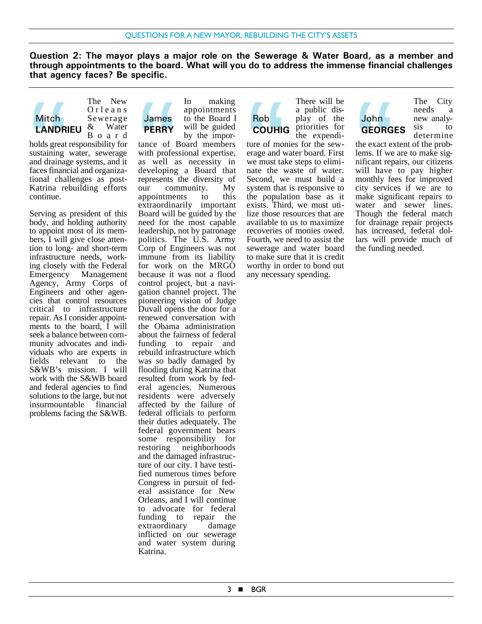**Question 2: The mayor plays a major role on the Sewerage & Water Board, as a member and through appointments to the board. What will you do to address the immense financial challenges that agency faces? Be specific.**



The New Orleans Sewerage & Water Board

holds great responsibility for sustaining water, sewerage and drainage systems, and it faces financial and organizational challenges as post-Katrina rebuilding efforts continue. Mitch<br>
LANDRI<br>
holds great<br>
sustaining<br>
and drainag<br>
faces financ<br>
Katrina re<br>
continue.

Serving as president of this body, and holding authority to appoint most of its members, I will give close attention to long- and short-term infrastructure needs, working closely with the Federal Emergency Management Agency, Army Corps of Engineers and other agencies that control resources critical to infrastructure repair. As I consider appointments to the board, I will seek a balance between community advocates and individuals who are experts in fields relevant to the S&WB's mission. I will work with the S&WB board and federal agencies to find solutions to the large, but not insurmountable financial problems facing the S&WB.

In making appointments to the Board I will be guided by the impor-James **PERRY**

tance of Board members with professional expertise, as well as necessity in developing a Board that represents the diversity of our community. My appointments to this extraordinarily important Board will be guided by the need for the most capable leadership, not by patronage politics. The U.S. Army Corp of Engineers was not immune from its liability for work on the MRGO because it was not a flood control project, but a navigation channel project. The pioneering vision of Judge Duvall opens the door for a renewed conversation with the Obama administration about the fairness of federal funding to repair and rebuild infrastructure which was so badly damaged by flooding during Katrina that resulted from work by federal agencies. Numerous residents were adversely affected by the failure of federal officials to perform their duties adequately. The federal government bears some responsibility for restoring neighborhoods and the damaged infrastructure of our city. I have testified numerous times before Congress in pursuit of federal assistance for New Orleans, and I will continue to advocate for federal funding to repair the extraordinary damage inflicted on our sewerage and water system during Katrina. James<br>
PERRY<br>
tance of I<br>
with profes<br>
as well a<br>
developing<br>
represents<br>
our con<br>
appointments<br>
extracting

#### There will be a public display of the priorities for the expendi-Rob **COUHIG**

ture of monies for the sewerage and water board. First we must take steps to eliminate the waste of water. Second, we must build a system that is responsive to the population base as it exists. Third, we must utilize those resources that are available to us to maximize recoveries of monies owed. Fourth, we need to assist the sewerage and water board to make sure that it is credit worthy in order to bond out any necessary spending. Rob<br>COUHIC<br>ture of mon<br>erage and v<br>we must tal<br>nate the visite Thin<br>the populary is the populary of the populary of the populary of the populary of the populary of the populary of the populary of the populary of the popula



The City needs a new analysis to determine

the exact extent of the problems. If we are to make significant repairs, our citizens will have to pay higher monthly fees for improved city services if we are to make significant repairs to water and sewer lines. Though the federal match for drainage repair projects has increased, federal dollars will provide much of the funding needed. John<br>GEORG<br>the exact explement Figures of the position<br>will have<br>monthly feeling service<br>make significantly water and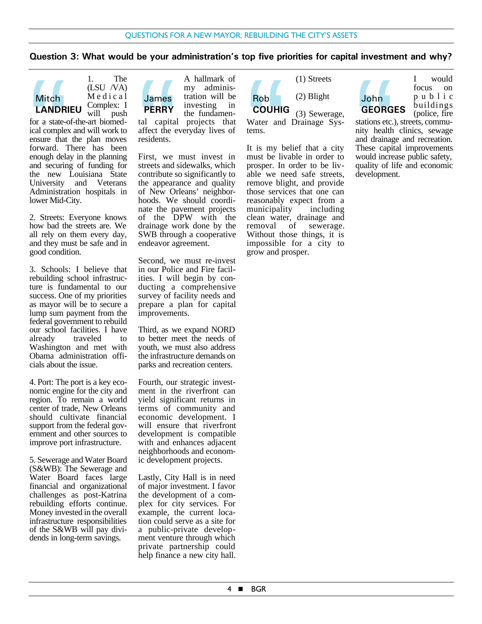## **Question 3: What would be your administration's top five priorities for capital investment and why?**



1. The (LSU /VA) Medical Complex: I<br>will push push

for a state-of-the-art biomedical complex and will work to ensure that the plan moves forward. There has been enough delay in the planning and securing of funding for the new Louisiana State University and Veterans Administration hospitals in lower Mid-City. Mitch<br> **LANDR**<br>
for a state-c<br>
ical comple:<br>
ensure that<br>
forward. T<br>
enough dela<br>
and securin<br>
the new

2. Streets: Everyone knows how bad the streets are. We all rely on them every day, and they must be safe and in good condition.

3. Schools: I believe that rebuilding school infrastructure is fundamental to our success. One of my priorities as mayor will be to secure a lump sum payment from the federal government to rebuild our school facilities. I have already traveled to Washington and met with Obama administration officials about the issue.

4. Port: The port is a key economic engine for the city and region. To remain a world center of trade, New Orleans should cultivate financial support from the federal government and other sources to improve port infrastructure.

5. Sewerage and Water Board (S&WB): The Sewerage and Water Board faces large financial and organizational challenges as post-Katrina rebuilding efforts continue. Money invested in the overall infrastructure responsibilities of the S&WB will pay dividends in long-term savings.



tal capital projects that affect the everyday lives of residents.

First, we must invest in streets and sidewalks, which contribute so significantly to the appearance and quality of New Orleans' neighborhoods. We should coordinate the pavement projects of the DPW with the drainage work done by the SWB through a cooperative endeavor agreement. James<br>
PERRY<br>
tal capital<br>
affect the e<br>
residents.<br>
First, we<br>
streets and :<br>
contribute s<br>
the appearance

Second, we must re-invest in our Police and Fire facilities. I will begin by conducting a comprehensive survey of facility needs and prepare a plan for capital improvements.

Third, as we expand NORD to better meet the needs of youth, we must also address the infrastructure demands on parks and recreation centers.

Fourth, our strategic investment in the riverfront can yield significant returns in terms of community and economic development. I will ensure that riverfront development is compatible with and enhances adjacent neighborhoods and economic development projects.

Lastly, City Hall is in need of major investment. I favor the development of a complex for city services. For example, the current location could serve as a site for a public-private development venture through which private partnership could help finance a new city hall.



Water and Drainage Systems.

It is my belief that a city must be livable in order to prosper. In order to be livable we need safe streets, remove blight, and provide those services that one can reasonably expect from a<br>municipality including municipality clean water, drainage and removal of sewerage. Without those things, it is impossible for a city to grow and prosper.

John **GEORGES** I would focus on public buildings (police, fire

stations etc.), streets, community health clinics, sewage and drainage and recreation. These capital improvements would increase public safety, quality of life and economic development. John<br>GEORG<br>stations etc.,<br>mity health<br>and drainage<br>These capit<br>would increase applied<br>development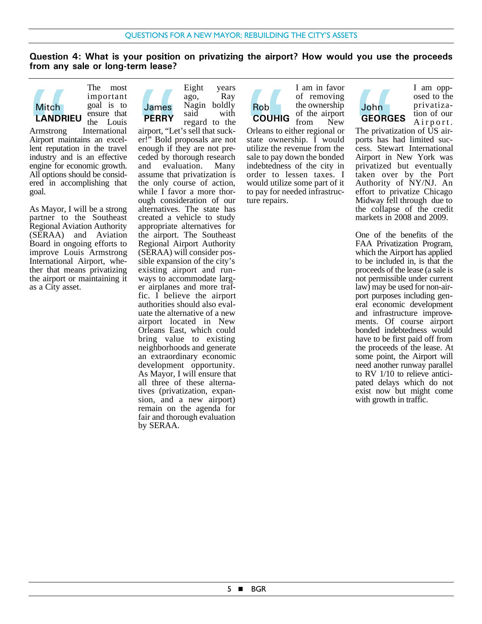**Question 4: What is your position on privatizing the airport? How would you use the proceeds from any sale or long-term lease?**



The most important goal is to ensure that the Louis

Armstrong International Airport maintains an excellent reputation in the travel industry and is an effective engine for economic growth. All options should be considered in accomplishing that goal. Mitch<br> **LANDR**<br>
Armstrong<br>
Airport ma<br>
lent reputat<br>
industry an<br>
engine for example of all options<br>
ered in ac

As Mayor, I will be a strong partner to the Southeast Regional Aviation Authority (SERAA) and Aviation Board in ongoing efforts to improve Louis Armstrong International Airport, whether that means privatizing the airport or maintaining it as a City asset.



Eight years ago, Ray Nagin boldly said with regard to the

airport, "Let's sell that sucker!" Bold proposals are not enough if they are not preceded by thorough research and evaluation. Many assume that privatization is the only course of action, while I favor a more thorough consideration of our alternatives. The state has created a vehicle to study appropriate alternatives for the airport. The Southeast Regional Airport Authority (SERAA) will consider possible expansion of the city's existing airport and runways to accommodate larger airplanes and more traffic. I believe the airport authorities should also evaluate the alternative of a new airport located in New Orleans East, which could bring value to existing neighborhoods and generate an extraordinary economic development opportunity. As Mayor, I will ensure that all three of these alternatives (privatization, expansion, and a new airport) remain on the agenda for fair and thorough evaluation by SERAA. James<br>
PERRY<br>
airport, "Le<br>
er!" Bold p<br>
enough if t<br>
ceded by the<br>
assume that<br>
the only c<br>
while I fay

I am in favor of removing the ownership of the airport Rob **COUHIG**

from New Orleans to either regional or state ownership. I would utilize the revenue from the sale to pay down the bonded indebtedness of the city in order to lessen taxes. I would utilize some part of it to pay for needed infrastructure repairs. Rob<br>COUHIC<br>Orleans to estate<br>sale to pay<br>indebtednes<br>order to<br>would utilize



I am opposed to the privatization of our Airport.

The privatization of US airports has had limited success. Stewart International Airport in New York was privatized but eventually taken over by the Port Authority of NY/NJ. An effort to privatize Chicago Midway fell through due to the collapse of the credit markets in 2008 and 2009. John<br>GEORG<br>The privatiin<br>tess. Stew<br>Airport in<br>privatized<br>taken ove<br>Authority<br>effort to m

One of the benefits of the FAA Privatization Program, which the Airport has applied to be included in, is that the proceeds of the lease (a sale is not permissible under current law) may be used for non-airport purposes including general economic development and infrastructure improvements. Of course airport bonded indebtedness would have to be first paid off from the proceeds of the lease. At some point, the Airport will need another runway parallel to RV 1/10 to relieve anticipated delays which do not exist now but might come with growth in traffic.